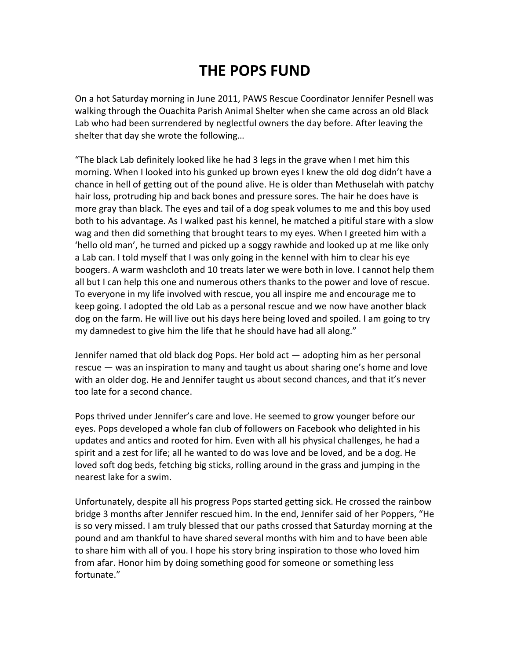## **THE POPS FUND**

On a hot Saturday morning in June 2011, PAWS Rescue Coordinator Jennifer Pesnell was walking through the Ouachita Parish Animal Shelter when she came across an old Black Lab who had been surrendered by neglectful owners the day before. After leaving the shelter that day she wrote the following…

"The black Lab definitely looked like he had 3 legs in the grave when I met him this morning. When I looked into his gunked up brown eyes I knew the old dog didn't have a chance in hell of getting out of the pound alive. He is older than Methuselah with patchy hair loss, protruding hip and back bones and pressure sores. The hair he does have is more gray than black. The eyes and tail of a dog speak volumes to me and this boy used both to his advantage. As I walked past his kennel, he matched a pitiful stare with a slow wag and then did something that brought tears to my eyes. When I greeted him with a 'hello old man', he turned and picked up a soggy rawhide and looked up at me like only a Lab can. I told myself that I was only going in the kennel with him to clear his eye boogers. A warm washcloth and 10 treats later we were both in love. I cannot help them all but I can help this one and numerous others thanks to the power and love of rescue. To everyone in my life involved with rescue, you all inspire me and encourage me to keep going. I adopted the old Lab as a personal rescue and we now have another black dog on the farm. He will live out his days here being loved and spoiled. I am going to try my damnedest to give him the life that he should have had all along."

Jennifer named that old black dog Pops. Her bold act — adopting him as her personal rescue — was an inspiration to many and taught us about sharing one's home and love with an older dog. He and Jennifer taught us about second chances, and that it's never too late for a second chance.

Pops thrived under Jennifer's care and love. He seemed to grow younger before our eyes. Pops developed a whole fan club of followers on Facebook who delighted in his updates and antics and rooted for him. Even with all his physical challenges, he had a spirit and a zest for life; all he wanted to do was love and be loved, and be a dog. He loved soft dog beds, fetching big sticks, rolling around in the grass and jumping in the nearest lake for a swim.

Unfortunately, despite all his progress Pops started getting sick. He crossed the rainbow bridge 3 months after Jennifer rescued him. In the end, Jennifer said of her Poppers, "He is so very missed. I am truly blessed that our paths crossed that Saturday morning at the pound and am thankful to have shared several months with him and to have been able to share him with all of you. I hope his story bring inspiration to those who loved him from afar. Honor him by doing something good for someone or something less fortunate."